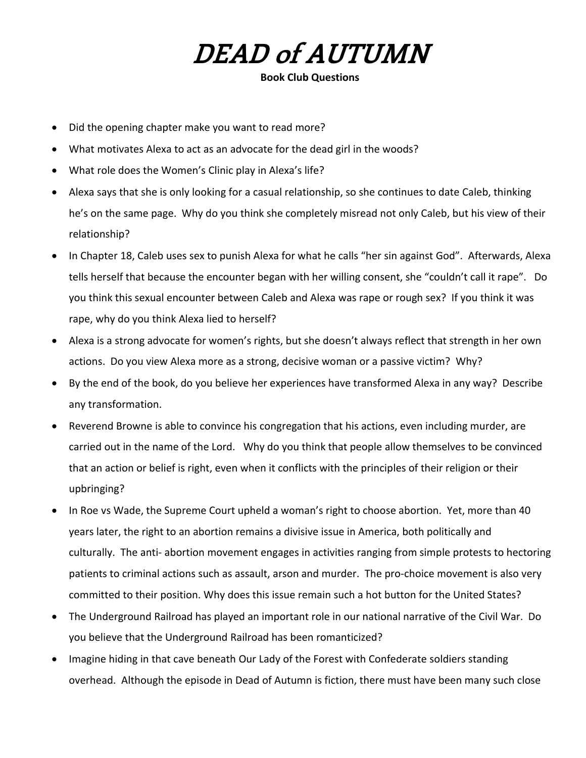## DEAD of AUTUMN

Book Club Questions

- Did the opening chapter make you want to read more?
- What motivates Alexa to act as an advocate for the dead girl in the woods?
- What role does the Women's Clinic play in Alexa's life?
- Alexa says that she is only looking for a casual relationship, so she continues to date Caleb, thinking he's on the same page. Why do you think she completely misread not only Caleb, but his view of their relationship?
- In Chapter 18, Caleb uses sex to punish Alexa for what he calls "her sin against God". Afterwards, Alexa tells herself that because the encounter began with her willing consent, she "couldn't call it rape". Do you think this sexual encounter between Caleb and Alexa was rape or rough sex? If you think it was rape, why do you think Alexa lied to herself?
- Alexa is a strong advocate for women's rights, but she doesn't always reflect that strength in her own actions. Do you view Alexa more as a strong, decisive woman or a passive victim? Why?
- By the end of the book, do you believe her experiences have transformed Alexa in any way? Describe any transformation.
- Reverend Browne is able to convince his congregation that his actions, even including murder, are carried out in the name of the Lord. Why do you think that people allow themselves to be convinced that an action or belief is right, even when it conflicts with the principles of their religion or their upbringing?
- In Roe vs Wade, the Supreme Court upheld a woman's right to choose abortion. Yet, more than 40 years later, the right to an abortion remains a divisive issue in America, both politically and culturally. The anti- abortion movement engages in activities ranging from simple protests to hectoring patients to criminal actions such as assault, arson and murder. The pro-choice movement is also very committed to their position. Why does this issue remain such a hot button for the United States?
- The Underground Railroad has played an important role in our national narrative of the Civil War. Do you believe that the Underground Railroad has been romanticized?
- Imagine hiding in that cave beneath Our Lady of the Forest with Confederate soldiers standing overhead. Although the episode in Dead of Autumn is fiction, there must have been many such close